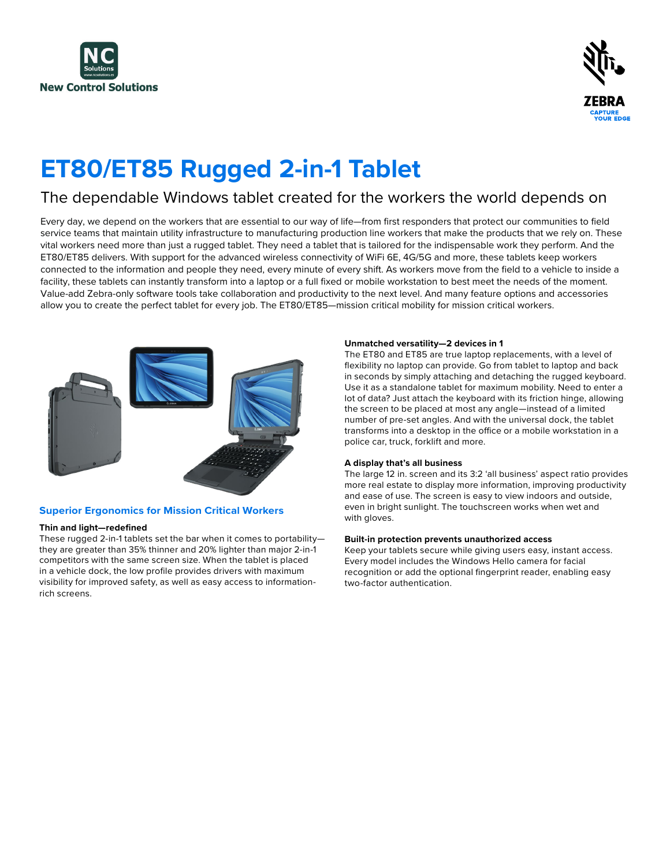



# **ET80/ET85 Rugged 2-in-1 Tablet**

### The dependable Windows tablet created for the workers the world depends on

Every day, we depend on the workers that are essential to our way of life—from first responders that protect our communities to field service teams that maintain utility infrastructure to manufacturing production line workers that make the products that we rely on. These vital workers need more than just a rugged tablet. They need a tablet that is tailored for the indispensable work they perform. And the ET80/ET85 delivers. With support for the advanced wireless connectivity of WiFi 6E, 4G/5G and more, these tablets keep workers connected to the information and people they need, every minute of every shift. As workers move from the field to a vehicle to inside a facility, these tablets can instantly transform into a laptop or a full fixed or mobile workstation to best meet the needs of the moment. Value-add Zebra-only software tools take collaboration and productivity to the next level. And many feature options and accessories allow you to create the perfect tablet for every job. The ET80/ET85—mission critical mobility for mission critical workers.



#### **Superior Ergonomics for Mission Critical Workers**

#### **Thin and light—redefined**

These rugged 2-in-1 tablets set the bar when it comes to portability they are greater than 35% thinner and 20% lighter than major 2-in-1 competitors with the same screen size. When the tablet is placed in a vehicle dock, the low profile provides drivers with maximum visibility for improved safety, as well as easy access to informationrich screens.

#### **Unmatched versatility—2 devices in 1**

The ET80 and ET85 are true laptop replacements, with a level of flexibility no laptop can provide. Go from tablet to laptop and back in seconds by simply attaching and detaching the rugged keyboard. Use it as a standalone tablet for maximum mobility. Need to enter a lot of data? Just attach the keyboard with its friction hinge, allowing the screen to be placed at most any angle—instead of a limited number of pre-set angles. And with the universal dock, the tablet transforms into a desktop in the office or a mobile workstation in a police car, truck, forklift and more.

#### **A display that's all business**

The large 12 in. screen and its 3:2 'all business' aspect ratio provides more real estate to display more information, improving productivity and ease of use. The screen is easy to view indoors and outside, even in bright sunlight. The touchscreen works when wet and with gloves.

#### **Built-in protection prevents unauthorized access**

Keep your tablets secure while giving users easy, instant access. Every model includes the Windows Hello camera for facial recognition or add the optional fingerprint reader, enabling easy two-factor authentication.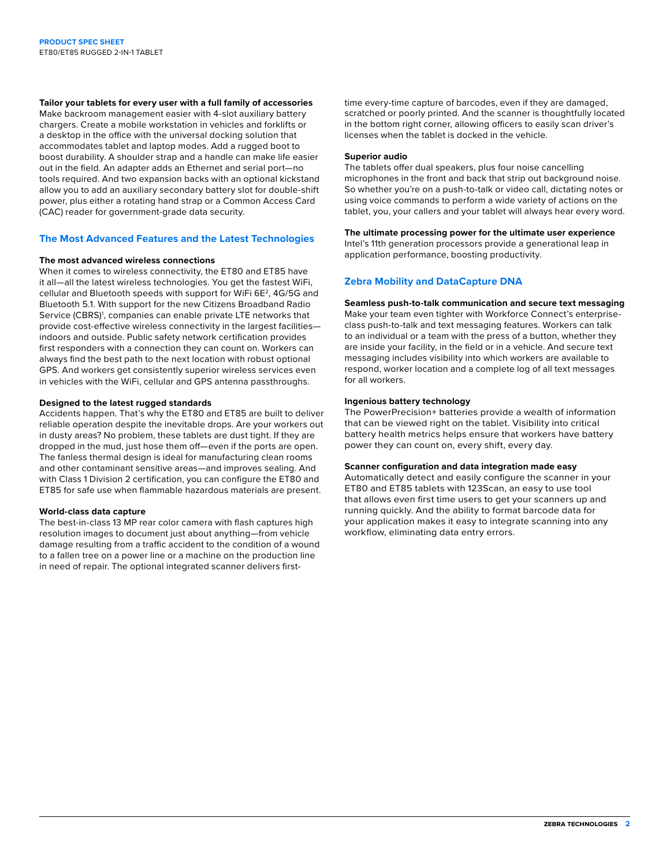**Tailor your tablets for every user with a full family of accessories**

Make backroom management easier with 4-slot auxiliary battery chargers. Create a mobile workstation in vehicles and forklifts or a desktop in the office with the universal docking solution that accommodates tablet and laptop modes. Add a rugged boot to boost durability. A shoulder strap and a handle can make life easier out in the field. An adapter adds an Ethernet and serial port—no tools required. And two expansion backs with an optional kickstand allow you to add an auxiliary secondary battery slot for double-shift power, plus either a rotating hand strap or a Common Access Card (CAC) reader for government-grade data security.

#### **The Most Advanced Features and the Latest Technologies**

#### **The most advanced wireless connections**

When it comes to wireless connectivity, the ET80 and ET85 have it all—all the latest wireless technologies. You get the fastest WiFi, cellular and Bluetooth speeds with support for WiFi 6E<sup>2</sup>, 4G/5G and Bluetooth 5.1. With support for the new Citizens Broadband Radio Service (CBRS)<sup>1</sup>, companies can enable private LTE networks that provide cost-effective wireless connectivity in the largest facilities indoors and outside. Public safety network certification provides first responders with a connection they can count on. Workers can always find the best path to the next location with robust optional GPS. And workers get consistently superior wireless services even in vehicles with the WiFi, cellular and GPS antenna passthroughs.

#### **Designed to the latest rugged standards**

Accidents happen. That's why the ET80 and ET85 are built to deliver reliable operation despite the inevitable drops. Are your workers out in dusty areas? No problem, these tablets are dust tight. If they are dropped in the mud, just hose them off—even if the ports are open. The fanless thermal design is ideal for manufacturing clean rooms and other contaminant sensitive areas—and improves sealing. And with Class 1 Division 2 certification, you can configure the ET80 and ET85 for safe use when flammable hazardous materials are present.

#### **World-class data capture**

The best-in-class 13 MP rear color camera with flash captures high resolution images to document just about anything—from vehicle damage resulting from a traffic accident to the condition of a wound to a fallen tree on a power line or a machine on the production line in need of repair. The optional integrated scanner delivers firsttime every-time capture of barcodes, even if they are damaged, scratched or poorly printed. And the scanner is thoughtfully located in the bottom right corner, allowing officers to easily scan driver's licenses when the tablet is docked in the vehicle.

#### **Superior audio**

The tablets offer dual speakers, plus four noise cancelling microphones in the front and back that strip out background noise. So whether you're on a push-to-talk or video call, dictating notes or using voice commands to perform a wide variety of actions on the tablet, you, your callers and your tablet will always hear every word.

**The ultimate processing power for the ultimate user experience**

Intel's 11th generation processors provide a generational leap in application performance, boosting productivity.

#### **Zebra Mobility and DataCapture DNA**

**Seamless push-to-talk communication and secure text messaging** Make your team even tighter with Workforce Connect's enterpriseclass push-to-talk and text messaging features. Workers can talk to an individual or a team with the press of a button, whether they are inside your facility, in the field or in a vehicle. And secure text messaging includes visibility into which workers are available to respond, worker location and a complete log of all text messages for all workers.

#### **Ingenious battery technology**

The PowerPrecision+ batteries provide a wealth of information that can be viewed right on the tablet. Visibility into critical battery health metrics helps ensure that workers have battery power they can count on, every shift, every day.

#### **Scanner configuration and data integration made easy**

Automatically detect and easily configure the scanner in your ET80 and ET85 tablets with 123Scan, an easy to use tool that allows even first time users to get your scanners up and running quickly. And the ability to format barcode data for your application makes it easy to integrate scanning into any workflow, eliminating data entry errors.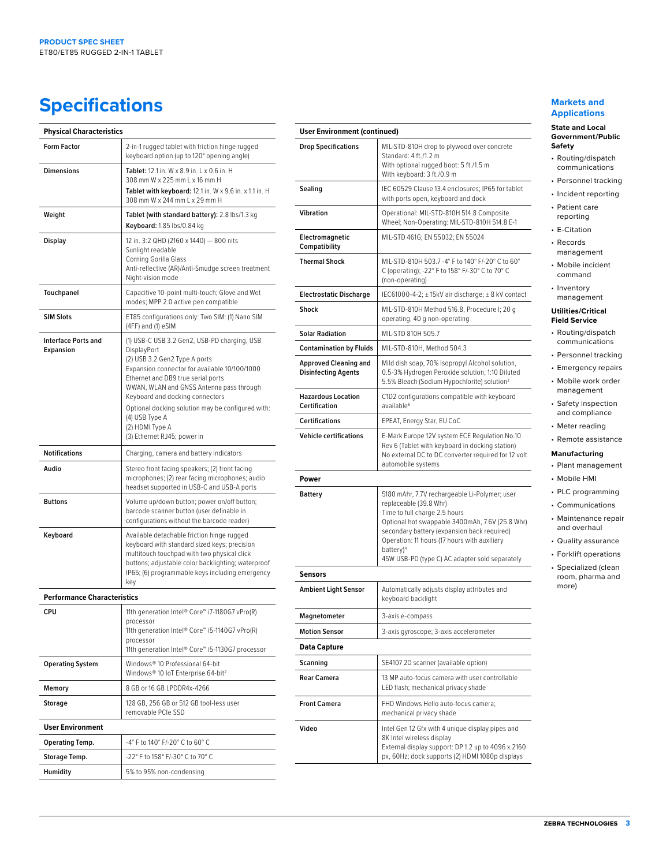## **Specifications**

| <b>Physical Characteristics</b>                |                                                                                                                                                                                                                                                                                                                                                                                             |  |
|------------------------------------------------|---------------------------------------------------------------------------------------------------------------------------------------------------------------------------------------------------------------------------------------------------------------------------------------------------------------------------------------------------------------------------------------------|--|
| <b>Form Factor</b>                             | 2-in-1 rugged tablet with friction hinge rugged<br>keyboard option (up to 120° opening angle)                                                                                                                                                                                                                                                                                               |  |
| <b>Dimensions</b>                              | Tablet: 12.1 in. W x 8.9 in. L x 0.6 in. H<br>308 mm W x 225 mm L x 16 mm H<br>Tablet with keyboard: 12.1 in. W x 9.6 in. x 1.1 in. H<br>308 mm W x 244 mm L x 29 mm H                                                                                                                                                                                                                      |  |
| Weight                                         | Tablet (with standard battery): 2.8 lbs/1.3 kg<br>Keyboard: 1.85 lbs/0.84 kg                                                                                                                                                                                                                                                                                                                |  |
| Display                                        | 12 in. 3:2 QHD (2160 x 1440) - 800 nits<br>Sunlight readable<br>Corning Gorilla Glass<br>Anti-reflective (AR)/Anti-Smudge screen treatment<br>Night-vision mode                                                                                                                                                                                                                             |  |
| <b>Touchpanel</b>                              | Capacitive 10-point multi-touch; Glove and Wet<br>modes; MPP 2.0 active pen compatible                                                                                                                                                                                                                                                                                                      |  |
| <b>SIM Slots</b>                               | ET85 configurations only: Two SIM: (1) Nano SIM<br>(4FF) and (1) eSIM                                                                                                                                                                                                                                                                                                                       |  |
| <b>Interface Ports and</b><br><b>Expansion</b> | (1) USB-C USB 3.2 Gen2, USB-PD charging, USB<br>DisplayPort<br>(2) USB 3.2 Gen2 Type A ports<br>Expansion connector for available 10/100/1000<br>Ethernet and DB9 true serial ports<br>WWAN, WLAN and GNSS Antenna pass through<br>Keyboard and docking connectors<br>Optional docking solution may be configured with:<br>(4) USB Type A<br>(2) HDMI Type A<br>(3) Ethernet RJ45; power in |  |
| <b>Notifications</b>                           | Charging, camera and battery indicators                                                                                                                                                                                                                                                                                                                                                     |  |
| Audio                                          | Stereo front facing speakers; (2) front facing<br>microphones; (2) rear facing microphones; audio<br>headset supported in USB-C and USB-A ports                                                                                                                                                                                                                                             |  |
| <b>Buttons</b>                                 | Volume up/down button; power on/off button;<br>barcode scanner button (user definable in<br>configurations without the barcode reader)                                                                                                                                                                                                                                                      |  |
| Keyboard                                       | Available detachable friction hinge rugged<br>keyboard with standard sized keys; precision<br>multitouch touchpad with two physical click<br>buttons; adjustable color backlighting; waterproof<br>IP65; (6) programmable keys including emergency<br>key                                                                                                                                   |  |
| <b>Performance Characteristics</b>             |                                                                                                                                                                                                                                                                                                                                                                                             |  |
| CPU                                            | 11th generation Intel® Core™ i7-1180G7 vPro(R)<br>processor<br>11th generation Intel® Core™ i5-1140G7 vPro(R)<br>processor<br>11th generation Intel® Core™ i5-1130G7 processor                                                                                                                                                                                                              |  |
| <b>Operating System</b>                        | Windows® 10 Professional 64-bit<br>Windows® 10 IoT Enterprise 64-bit <sup>2</sup>                                                                                                                                                                                                                                                                                                           |  |
| Memory                                         | 8 GB or 16 GB LPDDR4x-4266                                                                                                                                                                                                                                                                                                                                                                  |  |
| Storage                                        | 128 GB, 256 GB or 512 GB tool-less user<br>removable PCIe SSD                                                                                                                                                                                                                                                                                                                               |  |
| <b>User Environment</b>                        |                                                                                                                                                                                                                                                                                                                                                                                             |  |
| <b>Operating Temp.</b>                         | -4° F to 140° F/-20° C to 60° C                                                                                                                                                                                                                                                                                                                                                             |  |
| Storage Temp.                                  | -22° F to 158° F/-30° C to 70° C                                                                                                                                                                                                                                                                                                                                                            |  |
| Humidity                                       | 5% to 95% non-condensing                                                                                                                                                                                                                                                                                                                                                                    |  |

| User Environment (continued)                               |                                                                                                                                                                                                                                                                                                                                       |  |
|------------------------------------------------------------|---------------------------------------------------------------------------------------------------------------------------------------------------------------------------------------------------------------------------------------------------------------------------------------------------------------------------------------|--|
| <b>Drop Specifications</b>                                 | MIL-STD-810H drop to plywood over concrete<br>Standard: 4 ft./1.2 m                                                                                                                                                                                                                                                                   |  |
|                                                            | With optional rugged boot: 5 ft./1.5 m<br>With keyboard: 3 ft./0.9 m                                                                                                                                                                                                                                                                  |  |
| Sealing                                                    | IEC 60529 Clause 13.4 enclosures; IP65 for tablet<br>with ports open, keyboard and dock                                                                                                                                                                                                                                               |  |
| Vibration                                                  | Operational: MIL-STD-810H 514.8 Composite<br>Wheel; Non-Operating: MIL-STD-810H 514.8 E-1                                                                                                                                                                                                                                             |  |
| Electromagnetic<br>Compatibility                           | MIL-STD 461G; EN 55032; EN 55024                                                                                                                                                                                                                                                                                                      |  |
| <b>Thermal Shock</b>                                       | MIL-STD-810H 503.7 -4° F to 140° F/-20° C to 60°<br>C (operating); -22° F to 158° F/-30° C to 70° C<br>(non-operating)                                                                                                                                                                                                                |  |
| <b>Electrostatic Discharge</b>                             | IEC61000-4-2; ± 15kV air discharge; ± 8 kV contact                                                                                                                                                                                                                                                                                    |  |
| Shock                                                      | MIL-STD-810H Method 516.8, Procedure I; 20 g<br>operating, 40 g non-operating                                                                                                                                                                                                                                                         |  |
| <b>Solar Radiation</b>                                     | MII-STD 810H 505.7                                                                                                                                                                                                                                                                                                                    |  |
| <b>Contamination by Fluids</b>                             | MIL-STD-810H, Method 504.3                                                                                                                                                                                                                                                                                                            |  |
| <b>Approved Cleaning and</b><br><b>Disinfecting Agents</b> | Mild dish soap, 70% Isopropyl Alcohol solution,<br>0.5-3% Hydrogen Peroxide solution, 1:10 Diluted<br>5.5% Bleach (Sodium Hypochlorite) solution <sup>3</sup>                                                                                                                                                                         |  |
| <b>Hazardous Location</b><br><b>Certification</b>          | C1D2 configurations compatible with keyboard<br>available <sup>6</sup>                                                                                                                                                                                                                                                                |  |
| <b>Certifications</b>                                      | EPEAT, Energy Star, EU CoC                                                                                                                                                                                                                                                                                                            |  |
| <b>Vehicle certifications</b>                              | E-Mark Europe 12V system ECE Regulation No.10<br>Rev 6 (Tablet with keyboard in docking station)<br>No external DC to DC converter required for 12 volt<br>automobile systems                                                                                                                                                         |  |
| Power                                                      |                                                                                                                                                                                                                                                                                                                                       |  |
| <b>Battery</b>                                             | 5180 mAhr, 7.7V rechargeable Li-Polymer; user<br>replaceable (39.8 Whr)<br>Time to full charge 2.5 hours<br>Optional hot swappable 3400mAh, 7.6V (25.8 Whr)<br>secondary battery (expansion back required)<br>Operation: 11 hours (17 hours with auxiliary<br>battery) <sup>4</sup><br>45W USB-PD (type C) AC adapter sold separately |  |
| <b>Sensors</b>                                             |                                                                                                                                                                                                                                                                                                                                       |  |
| Ambient Light Sensor                                       | Automatically adjusts display attributes and<br>keyboard backlight                                                                                                                                                                                                                                                                    |  |
| Magnetometer                                               | 3-axis e-compass                                                                                                                                                                                                                                                                                                                      |  |
| <b>Motion Sensor</b>                                       | 3-axis gyroscope; 3-axis accelerometer                                                                                                                                                                                                                                                                                                |  |
| Data Capture                                               |                                                                                                                                                                                                                                                                                                                                       |  |
| Scanning                                                   | SE4107 2D scanner (available option)                                                                                                                                                                                                                                                                                                  |  |
| <b>Rear Camera</b>                                         | 13 MP auto-focus camera with user controllable<br>LED flash; mechanical privacy shade                                                                                                                                                                                                                                                 |  |
| <b>Front Camera</b>                                        | FHD Windows Hello auto-focus camera;<br>mechanical privacy shade                                                                                                                                                                                                                                                                      |  |
| Video                                                      | Intel Gen 12 Gfx with 4 unique display pipes and<br>8K Intel wireless display<br>External display support: DP 1.2 up to 4096 x 2160<br>px, 60Hz; dock supports (2) HDMI 1080p displays                                                                                                                                                |  |

#### **Markets and Applications**

#### **State and Local Government/Public Safety**

- Routing/dispatch communications
- Personnel tracking • Incident reporting
- Patient care
- reporting
- E-Citation
- Records management
- Mobile incident command
- Inventory management

#### **Utilities/Critical Field Service**

- Routing/dispatch communications
- Personnel tracking
- Emergency repairs
- Mobile work order management
- Safety inspection and compliance
- Meter reading
- Remote assistance

#### **Manufacturing**

- Plant management • Mobile HMI
- PLC programming
- Communications
- Maintenance repair and overhaul
- Quality assurance
- Forklift operations
- Specialized (clean room, pharma and more)